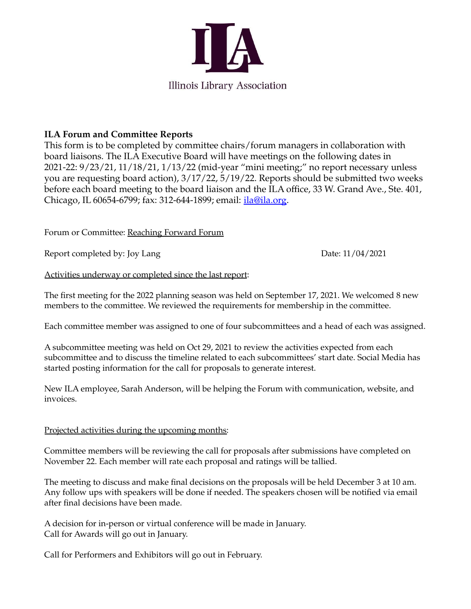

## **ILA Forum and Committee Reports**

This form is to be completed by committee chairs/forum managers in collaboration with board liaisons. The ILA Executive Board will have meetings on the following dates in 2021-22: 9/23/21, 11/18/21, 1/13/22 (mid-year "mini meeting;" no report necessary unless you are requesting board action), 3/17/22, 5/19/22. Reports should be submitted two weeks before each board meeting to the board liaison and the ILA office, 33 W. Grand Ave., Ste. 401, Chicago, IL 60654-6799; fax: 312-644-1899; email: *[ila@ila.org.](mailto:ila@ila.org)* 

Forum or Committee: Reaching Forward Forum

Report completed by: Joy Lang Date: 11/04/2021

Activities underway or completed since the last report:

The first meeting for the 2022 planning season was held on September 17, 2021. We welcomed 8 new members to the committee. We reviewed the requirements for membership in the committee.

Each committee member was assigned to one of four subcommittees and a head of each was assigned.

A subcommittee meeting was held on Oct 29, 2021 to review the activities expected from each subcommittee and to discuss the timeline related to each subcommittees' start date. Social Media has started posting information for the call for proposals to generate interest.

New ILA employee, Sarah Anderson, will be helping the Forum with communication, website, and invoices.

## Projected activities during the upcoming months:

Committee members will be reviewing the call for proposals after submissions have completed on November 22. Each member will rate each proposal and ratings will be tallied.

The meeting to discuss and make final decisions on the proposals will be held December 3 at 10 am. Any follow ups with speakers will be done if needed. The speakers chosen will be notified via email after final decisions have been made.

A decision for in-person or virtual conference will be made in January. Call for Awards will go out in January.

Call for Performers and Exhibitors will go out in February.